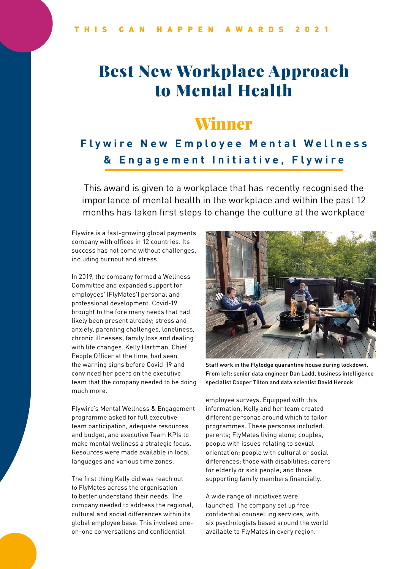# Best New Workplace Approach to Mental Health

## Winner

### **Flywire New Employee Mental Wellness & Engagement Initiative, Flywire**

This award is given to a workplace that has recently recognised the importance of mental health in the workplace and within the past 12 months has taken first steps to change the culture at the workplace

Flywire is a fast-growing global payments company with offices in 12 countries. Its success has not come without challenges, including burnout and stress.

In 2019, the company formed a Wellness Committee and expanded support for employees' (FlyMates') personal and professional development. Covid-19 brought to the fore many needs that had likely been present already; stress and anxiety, parenting challenges, loneliness, chronic illnesses, family loss and dealing with life changes. Kelly Hartman, Chief People Officer at the time, had seen the warning signs before Covid-19 and convinced her peers on the executive team that the company needed to be doing much more.

Flywire's Mental Wellness & Engagement programme asked for full executive team participation, adequate resources and budget, and executive Team KPIs to make mental wellness a strategic focus. Resources were made available in local languages and various time zones.

The first thing Kelly did was reach out to FlyMates across the organisation to better understand their needs. The company needed to address the regional, cultural and social differences within its global employee base. This involved oneon-one conversations and confidential



Staff work in the Flylodge quarantine house during lockdown. From left: senior data engineer Dan Ladd, business intelligence specialist Cooper Tilton and data scientist David Herook

employee surveys. Equipped with this information, Kelly and her team created different personas around which to tailor programmes. These personas included: parents; FlyMates living alone; couples, people with issues relating to sexual orientation; people with cultural or social differences; those with disabilities; carers for elderly or sick people; and those supporting family members financially.

A wide range of initiatives were launched. The company set up free confidential counselling services, with six psychologists based around the world available to FlyMates in every region.